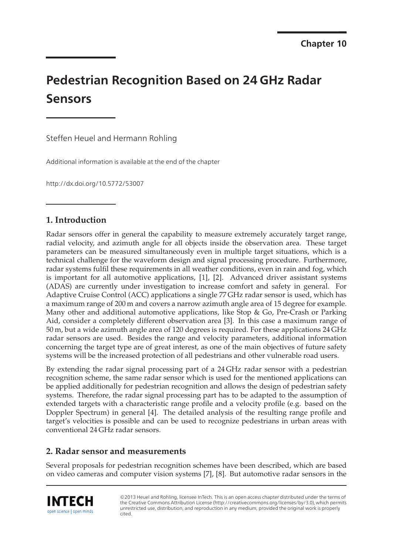# **Pedestrian Recognition Based on 24 GHz Radar Sensors**

Steffen Heuel and Hermann Rohling

Additional information is available at the end of the chapter

http://dx.doi.org/10.5772/53007

# **1. Introduction**

Radar sensors offer in general the capability to measure extremely accurately target range, radial velocity, and azimuth angle for all objects inside the observation area. These target parameters can be measured simultaneously even in multiple target situations, which is a technical challenge for the waveform design and signal processing procedure. Furthermore, radar systems fulfil these requirements in all weather conditions, even in rain and fog, which is important for all automotive applications, [1], [2]. Advanced driver assistant systems (ADAS) are currently under investigation to increase comfort and safety in general. For Adaptive Cruise Control (ACC) applications a single 77 GHz radar sensor is used, which has a maximum range of 200 m and covers a narrow azimuth angle area of 15 degree for example. Many other and additional automotive applications, like Stop & Go, Pre-Crash or Parking Aid, consider a completely different observation area [3]. In this case a maximum range of 50 m, but a wide azimuth angle area of 120 degrees is required. For these applications 24 GHz radar sensors are used. Besides the range and velocity parameters, additional information concerning the target type are of great interest, as one of the main objectives of future safety systems will be the increased protection of all pedestrians and other vulnerable road users.

By extending the radar signal processing part of a 24 GHz radar sensor with a pedestrian recognition scheme, the same radar sensor which is used for the mentioned applications can be applied additionally for pedestrian recognition and allows the design of pedestrian safety systems. Therefore, the radar signal processing part has to be adapted to the assumption of extended targets with a characteristic range profile and a velocity profile (e.g. based on the Doppler Spectrum) in general [4]. The detailed analysis of the resulting range profile and target's velocities is possible and can be used to recognize pedestrians in urban areas with conventional 24 GHz radar sensors.

# **2. Radar sensor and measurements**

Several proposals for pedestrian recognition schemes have been described, which are based on video cameras and computer vision systems [7], [8]. But automotive radar sensors in the



©2013 Heuel and Rohling, licensee InTech. This is an open access chapter distributed under the terms of the Creative Commons Attribution License (http://creativecommons.org/licenses/by/3.0),which permits unrestricted use, distribution, and reproduction in any medium, provided the original work is properly cited.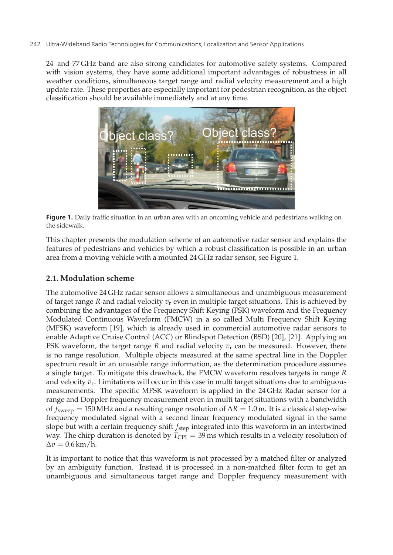24 and 77 GHz band are also strong candidates for automotive safety systems. Compared with vision systems, they have some additional important advantages of robustness in all weather conditions, simultaneous target range and radial velocity measurement and a high update rate. These properties are especially important for pedestrian recognition, as the object classification should be available immediately and at any time.



**Figure 1.** Daily traffic situation in an urban area with an oncoming vehicle and pedestrians walking on the sidewalk.

This chapter presents the modulation scheme of an automotive radar sensor and explains the features of pedestrians and vehicles by which a robust classification is possible in an urban area from a moving vehicle with a mounted 24 GHz radar sensor, see Figure 1.

## **2.1. Modulation scheme**

The automotive 24 GHz radar sensor allows a simultaneous and unambiguous measurement of target range *R* and radial velocity  $v_r$  even in multiple target situations. This is achieved by combining the advantages of the Frequency Shift Keying (FSK) waveform and the Frequency Modulated Continuous Waveform (FMCW) in a so called Multi Frequency Shift Keying (MFSK) waveform [19], which is already used in commercial automotive radar sensors to enable Adaptive Cruise Control (ACC) or Blindspot Detection (BSD) [20], [21]. Applying an FSK waveform, the target range  $R$  and radial velocity  $v_r$  can be measured. However, there is no range resolution. Multiple objects measured at the same spectral line in the Doppler spectrum result in an unusable range information, as the determination procedure assumes a single target. To mitigate this drawback, the FMCW waveform resolves targets in range *R* and velocity  $v_r$ . Limitations will occur in this case in multi target situations due to ambiguous measurements. The specific MFSK waveform is applied in the 24 GHz Radar sensor for a range and Doppler frequency measurement even in multi target situations with a bandwidth of  $f_{\text{sween}} = 150 \text{ MHz}$  and a resulting range resolution of  $\Delta R = 1.0 \text{ m}$ . It is a classical step-wise frequency modulated signal with a second linear frequency modulated signal in the same slope but with a certain frequency shift *f*step integrated into this waveform in an intertwined way. The chirp duration is denoted by  $T_{\text{CPI}} = 39 \text{ ms}$  which results in a velocity resolution of  $\Delta v = 0.6$  km/h.

It is important to notice that this waveform is not processed by a matched filter or analyzed by an ambiguity function. Instead it is processed in a non-matched filter form to get an unambiguous and simultaneous target range and Doppler frequency measurement with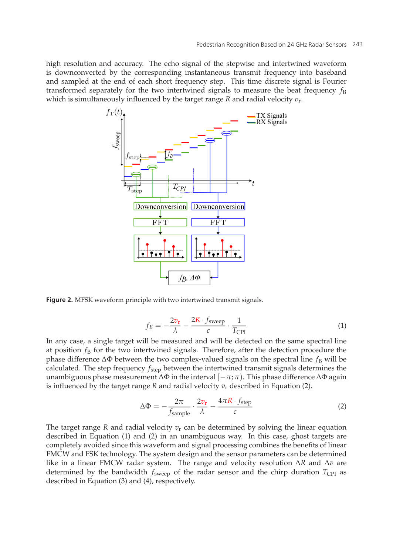high resolution and accuracy. The echo signal of the stepwise and intertwined waveform is downconverted by the corresponding instantaneous transmit frequency into baseband and sampled at the end of each short frequency step. This time discrete signal is Fourier transformed separately for the two intertwined signals to measure the beat frequency  $f_B$ which is simultaneously influenced by the target range *R* and radial velocity *v*r.



**Figure 2.** MFSK waveform principle with two intertwined transmit signals.

$$
f_B = -\frac{2v_r}{\lambda} - \frac{2R \cdot f_{\text{sweep}}}{c} \cdot \frac{1}{T_{\text{CPI}}} \tag{1}
$$

In any case, a single target will be measured and will be detected on the same spectral line at position  $f_B$  for the two intertwined signals. Therefore, after the detection procedure the phase difference  $\Delta\Phi$  between the two complex-valued signals on the spectral line  $f_B$  will be calculated. The step frequency *f*step between the intertwined transmit signals determines the unambiguous phase measurement  $\Delta\Phi$  in the interval  $[-\pi;\pi)$ . This phase difference  $\Delta\Phi$  again is influenced by the target range *R* and radial velocity  $v_r$  described in Equation (2).

$$
\Delta \Phi = -\frac{2\pi}{f_{\text{sample}}} \cdot \frac{2v_{\text{r}}}{\lambda} - \frac{4\pi R \cdot f_{\text{step}}}{c}
$$
 (2)

The target range  $R$  and radial velocity  $v_r$  can be determined by solving the linear equation described in Equation (1) and (2) in an unambiguous way. In this case, ghost targets are completely avoided since this waveform and signal processing combines the benefits of linear FMCW and FSK technology. The system design and the sensor parameters can be determined like in a linear FMCW radar system. The range and velocity resolution Δ*R* and Δ*v* are determined by the bandwidth  $f_{\text{sweep}}$  of the radar sensor and the chirp duration  $T_{\text{CPI}}$  as described in Equation (3) and (4), respectively.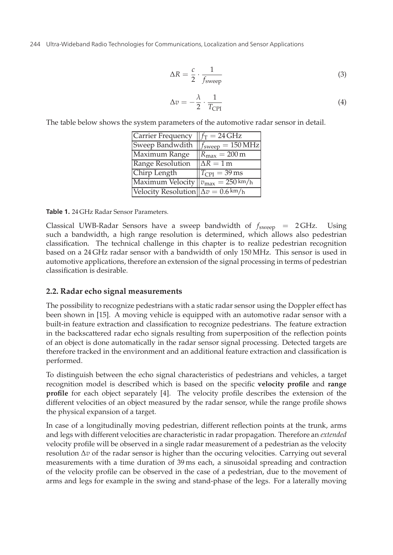$$
\Delta R = \frac{c}{2} \cdot \frac{1}{f_{\text{sweep}}} \tag{3}
$$

$$
\Delta v = -\frac{\lambda}{2} \cdot \frac{1}{T_{\rm CPL}} \tag{4}
$$

The table below shows the system parameters of the automotive radar sensor in detail.

| Carrier Frequency $   f_T = 24 \text{ GHz}$          |                                  |
|------------------------------------------------------|----------------------------------|
| Sweep Bandwdith $f_{\text{sweep}} = 150 \text{ MHz}$ |                                  |
| Maximum Range                                        | $R_{\text{max}} = 200 \text{ m}$ |
| Range Resolution                                     | $\Delta R = 1$ m                 |
| Chirp Length                                         | $T_{\rm{CPI}} = 39 \,\rm{ms}$    |
| Maximum Velocity $v_{\text{max}} = 250 \text{ km/h}$ |                                  |
| Velocity Resolution $\Delta v = 0.6 \text{ km/h}$    |                                  |

**Table 1.** 24 GHz Radar Sensor Parameters.

Classical UWB-Radar Sensors have a sweep bandwidth of *f*sweep = 2 GHz. Using such a bandwidth, a high range resolution is determined, which allows also pedestrian classification. The technical challenge in this chapter is to realize pedestrian recognition based on a 24 GHz radar sensor with a bandwidth of only 150 MHz. This sensor is used in automotive applications, therefore an extension of the signal processing in terms of pedestrian classification is desirable.

## **2.2. Radar echo signal measurements**

The possibility to recognize pedestrians with a static radar sensor using the Doppler effect has been shown in [15]. A moving vehicle is equipped with an automotive radar sensor with a built-in feature extraction and classification to recognize pedestrians. The feature extraction in the backscattered radar echo signals resulting from superposition of the reflection points of an object is done automatically in the radar sensor signal processing. Detected targets are therefore tracked in the environment and an additional feature extraction and classification is performed.

To distinguish between the echo signal characteristics of pedestrians and vehicles, a target recognition model is described which is based on the specific **velocity profile** and **range profile** for each object separately [4]. The velocity profile describes the extension of the different velocities of an object measured by the radar sensor, while the range profile shows the physical expansion of a target.

In case of a longitudinally moving pedestrian, different reflection points at the trunk, arms and legs with different velocities are characteristic in radar propagation. Therefore an *extended* velocity profile will be observed in a single radar measurement of a pedestrian as the velocity resolution Δ*v* of the radar sensor is higher than the occuring velocities. Carrying out several measurements with a time duration of 39 ms each, a sinusoidal spreading and contraction of the velocity profile can be observed in the case of a pedestrian, due to the movement of arms and legs for example in the swing and stand-phase of the legs. For a laterally moving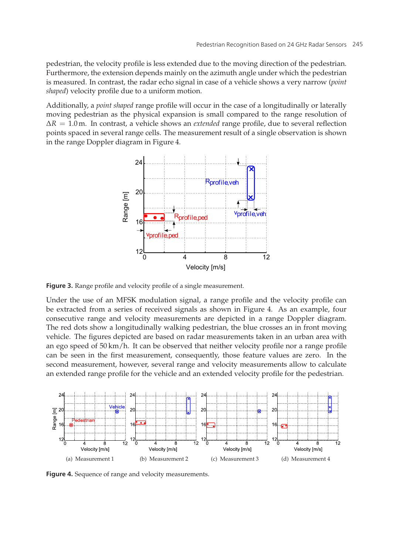pedestrian, the velocity profile is less extended due to the moving direction of the pedestrian. Furthermore, the extension depends mainly on the azimuth angle under which the pedestrian is measured. In contrast, the radar echo signal in case of a vehicle shows a very narrow (*point shaped*) velocity profile due to a uniform motion.

Additionally, a *point shaped* range profile will occur in the case of a longitudinally or laterally moving pedestrian as the physical expansion is small compared to the range resolution of Δ*R* = 1.0 m. In contrast, a vehicle shows an *extended* range profile, due to several reflection points spaced in several range cells. The measurement result of a single observation is shown in the range Doppler diagram in Figure 4.



**Figure 3.** Range profile and velocity profile of a single measurement.

Under the use of an MFSK modulation signal, a range profile and the velocity profile can be extracted from a series of received signals as shown in Figure 4. As an example, four consecutive range and velocity measurements are depicted in a range Doppler diagram. The red dots show a longitudinally walking pedestrian, the blue crosses an in front moving vehicle. The figures depicted are based on radar measurements taken in an urban area with an ego speed of 50 km/h. It can be observed that neither velocity profile nor a range profile can be seen in the first measurement, consequently, those feature values are zero. In the second measurement, however, several range and velocity measurements allow to calculate an extended range profile for the vehicle and an extended velocity profile for the pedestrian.



Figure 4. Sequence of range and velocity measurements.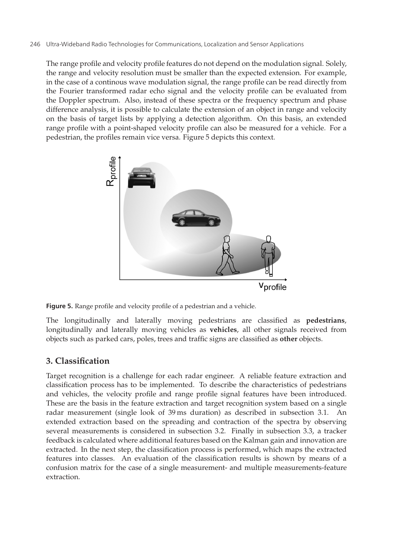The range profile and velocity profile features do not depend on the modulation signal. Solely, the range and velocity resolution must be smaller than the expected extension. For example, in the case of a continous wave modulation signal, the range profile can be read directly from the Fourier transformed radar echo signal and the velocity profile can be evaluated from the Doppler spectrum. Also, instead of these spectra or the frequency spectrum and phase difference analysis, it is possible to calculate the extension of an object in range and velocity on the basis of target lists by applying a detection algorithm. On this basis, an extended range profile with a point-shaped velocity profile can also be measured for a vehicle. For a pedestrian, the profiles remain vice versa. Figure 5 depicts this context.



**Figure 5.** Range profile and velocity profile of a pedestrian and a vehicle.

The longitudinally and laterally moving pedestrians are classified as **pedestrians**, longitudinally and laterally moving vehicles as **vehicles**, all other signals received from objects such as parked cars, poles, trees and traffic signs are classified as **other** objects.

# **3. Classification**

Target recognition is a challenge for each radar engineer. A reliable feature extraction and classification process has to be implemented. To describe the characteristics of pedestrians and vehicles, the velocity profile and range profile signal features have been introduced. These are the basis in the feature extraction and target recognition system based on a single radar measurement (single look of 39 ms duration) as described in subsection 3.1. An extended extraction based on the spreading and contraction of the spectra by observing several measurements is considered in subsection 3.2. Finally in subsection 3.3, a tracker feedback is calculated where additional features based on the Kalman gain and innovation are extracted. In the next step, the classification process is performed, which maps the extracted features into classes. An evaluation of the classification results is shown by means of a confusion matrix for the case of a single measurement- and multiple measurements-feature extraction.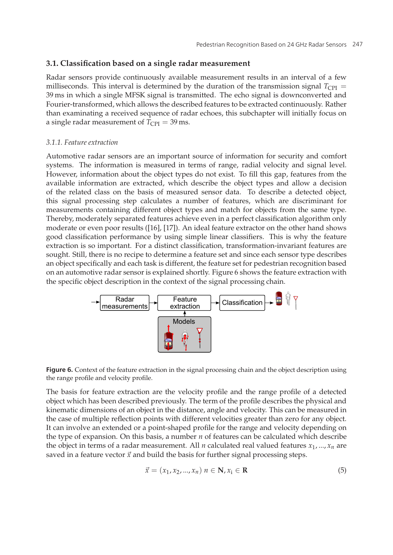#### **3.1. Classification based on a single radar measurement**

Radar sensors provide continuously available measurement results in an interval of a few milliseconds. This interval is determined by the duration of the transmission signal  $T_{\text{CPI}} =$ 39 ms in which a single MFSK signal is transmitted. The echo signal is downconverted and Fourier-transformed, which allows the described features to be extracted continuously. Rather than examinating a received sequence of radar echoes, this subchapter will initially focus on a single radar measurement of  $T_{\text{CPI}} = 39 \text{ ms}$ .

#### *3.1.1. Feature extraction*

Automotive radar sensors are an important source of information for security and comfort systems. The information is measured in terms of range, radial velocity and signal level. However, information about the object types do not exist. To fill this gap, features from the available information are extracted, which describe the object types and allow a decision of the related class on the basis of measured sensor data. To describe a detected object, this signal processing step calculates a number of features, which are discriminant for measurements containing different object types and match for objects from the same type. Thereby, moderately separated features achieve even in a perfect classification algorithm only moderate or even poor results ([16], [17]). An ideal feature extractor on the other hand shows good classification performance by using simple linear classifiers. This is why the feature extraction is so important. For a distinct classification, transformation-invariant features are sought. Still, there is no recipe to determine a feature set and since each sensor type describes an object specifically and each task is different, the feature set for pedestrian recognition based on an automotive radar sensor is explained shortly. Figure 6 shows the feature extraction with the specific object description in the context of the signal processing chain.





The basis for feature extraction are the velocity profile and the range profile of a detected object which has been described previously. The term of the profile describes the physical and kinematic dimensions of an object in the distance, angle and velocity. This can be measured in the case of multiple reflection points with different velocities greater than zero for any object. It can involve an extended or a point-shaped profile for the range and velocity depending on the type of expansion. On this basis, a number *n* of features can be calculated which describe the object in terms of a radar measurement. All *n* calculated real valued features  $x_1, ..., x_n$  are saved in a feature vector  $\vec{x}$  and build the basis for further signal processing steps.

$$
\vec{x} = (x_1, x_2, \dots, x_n) \; n \in \mathbf{N}, x_i \in \mathbf{R} \tag{5}
$$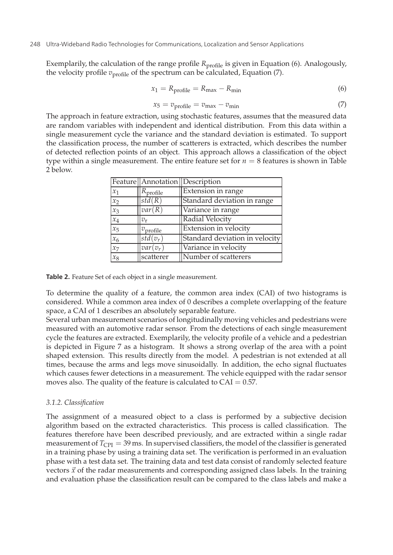Exemplarily, the calculation of the range profile *R*<sub>profile</sub> is given in Equation (6). Analogously, the velocity profile  $v_{\text{profile}}$  of the spectrum can be calculated, Equation (7).

$$
x_1 = R_{\text{profile}} = R_{\text{max}} - R_{\text{min}} \tag{6}
$$

$$
x_5 = v_{\text{profile}} = v_{\text{max}} - v_{\text{min}} \tag{7}
$$

The approach in feature extraction, using stochastic features, assumes that the measured data are random variables with independent and identical distribution. From this data within a single measurement cycle the variance and the standard deviation is estimated. To support the classification process, the number of scatterers is extracted, which describes the number of detected reflection points of an object. This approach allows a classification of the object type within a single measurement. The entire feature set for  $n = 8$  features is shown in Table 2 below.

|         | Feature   Annotation   Description |                                |  |
|---------|------------------------------------|--------------------------------|--|
| $x_1$   | profile                            | Extension in range             |  |
| $x_2$   | $\overline{std}(R)$                | Standard deviation in range    |  |
| $x_3$   | var(R)                             | Variance in range              |  |
| $x_4$   | $v_{r}$                            | Radial Velocity                |  |
| $x_{5}$ | $v_{\text{profile}}$               | Extension in velocity          |  |
| $x_6$   | $std(v_r)$                         | Standard deviation in velocity |  |
| $x_7$   | $var(v_r)$                         | Variance in velocity           |  |
| $x_8$   | scatterer                          | Number of scatterers           |  |

**Table 2.** Feature Set of each object in a single measurement.

To determine the quality of a feature, the common area index (CAI) of two histograms is considered. While a common area index of 0 describes a complete overlapping of the feature space, a CAI of 1 describes an absolutely separable feature.

Several urban measurement scenarios of longitudinally moving vehicles and pedestrians were measured with an automotive radar sensor. From the detections of each single measurement cycle the features are extracted. Exemplarily, the velocity profile of a vehicle and a pedestrian is depicted in Figure 7 as a histogram. It shows a strong overlap of the area with a point shaped extension. This results directly from the model. A pedestrian is not extended at all times, because the arms and legs move sinusoidally. In addition, the echo signal fluctuates which causes fewer detections in a measurement. The vehicle equipped with the radar sensor moves also. The quality of the feature is calculated to  $CAI = 0.57$ .

#### *3.1.2. Classification*

The assignment of a measured object to a class is performed by a subjective decision algorithm based on the extracted characteristics. This process is called classification. The features therefore have been described previously, and are extracted within a single radar measurement of *T*<sub>CPI</sub> = 39 ms. In supervised classifiers, the model of the classifier is generated in a training phase by using a training data set. The verification is performed in an evaluation phase with a test data set. The training data and test data consist of randomly selected feature vectors  $\vec{x}$  of the radar measurements and corresponding assigned class labels. In the training and evaluation phase the classification result can be compared to the class labels and make a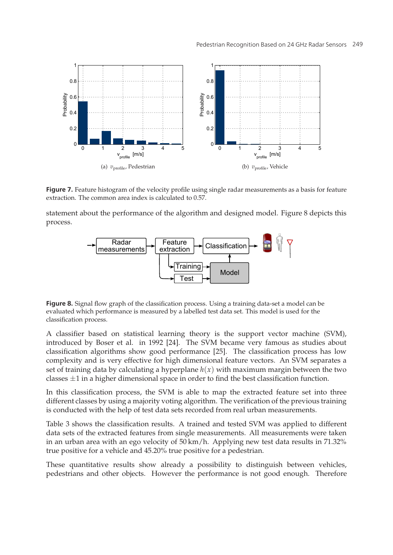

**Figure 7.** Feature histogram of the velocity profile using single radar measurements as a basis for feature extraction. The common area index is calculated to 0.57.

statement about the performance of the algorithm and designed model. Figure 8 depicts this process.



**Figure 8.** Signal flow graph of the classification process. Using a training data-set a model can be evaluated which performance is measured by a labelled test data set. This model is used for the classification process.

A classifier based on statistical learning theory is the support vector machine (SVM), introduced by Boser et al. in 1992 [24]. The SVM became very famous as studies about classification algorithms show good performance [25]. The classification process has low complexity and is very effective for high dimensional feature vectors. An SVM separates a set of training data by calculating a hyperplane  $h(x)$  with maximum margin between the two classes  $\pm 1$  in a higher dimensional space in order to find the best classification function.

In this classification process, the SVM is able to map the extracted feature set into three different classes by using a majority voting algorithm. The verification of the previous training is conducted with the help of test data sets recorded from real urban measurements.

Table 3 shows the classification results. A trained and tested SVM was applied to different data sets of the extracted features from single measurements. All measurements were taken in an urban area with an ego velocity of 50 km/h. Applying new test data results in 71.32% true positive for a vehicle and 45.20% true positive for a pedestrian.

These quantitative results show already a possibility to distinguish between vehicles, pedestrians and other objects. However the performance is not good enough. Therefore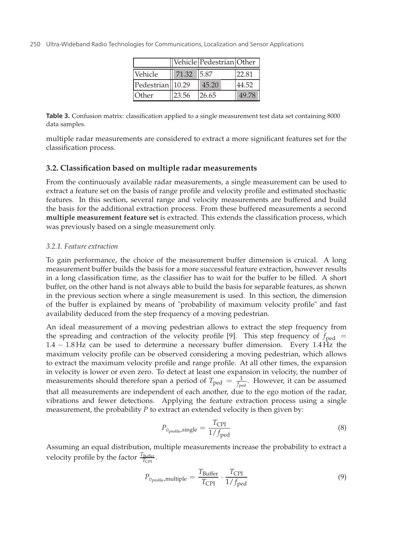|                  |            | Vehicle Pedestrian Other |       |
|------------------|------------|--------------------------|-------|
| Vehicle          | 71.32 5.87 |                          | 22.81 |
| Pedestrian 10.29 |            | 45.20                    | 44.52 |
| Other            | 23.56      | 126.65                   | 49.78 |

**Table 3.** Confusion matrix: classification applied to a single measurement test data set containing 8000 data samples.

multiple radar measurements are considered to extract a more significant features set for the classification process.

#### **3.2. Classification based on multiple radar measurements**

From the continuously available radar measurements, a single measurement can be used to extract a feature set on the basis of range profile and velocity profile and estimated stochastic features. In this section, several range and velocity measurements are buffered and build the basis for the additional extraction process. From these buffered measurements a second **multiple measurement feature set** is extracted. This extends the classification process, which was previously based on a single measurement only.

#### *3.2.1. Feature extraction*

To gain performance, the choice of the measurement buffer dimension is cruical. A long measurement buffer builds the basis for a more successful feature extraction, however results in a long classification time, as the classifier has to wait for the buffer to be filled. A short buffer, on the other hand is not always able to build the basis for separable features, as shown in the previous section where a single measurement is used. In this section, the dimension of the buffer is explained by means of "probability of maximum velocity profile" and fast availability deduced from the step frequency of a moving pedestrian.

An ideal measurement of a moving pedestrian allows to extract the step frequency from the spreading and contraction of the velocity profile [9]. This step frequency of  $f_{\text{ped}}$  = 1.4 − 1.8 Hz can be used to determine a necessary buffer dimension. Every 1.4 Hz the maximum velocity profile can be observed considering a moving pedestrian, which allows to extract the maximum velocity profile and range profile. At all other times, the expansion in velocity is lower or even zero. To detect at least one expansion in velocity, the number of measurements should therefore span a period of  $T_{\text{ped}} = \frac{1}{f_{\text{ped}}}$ . However, it can be assumed that all measurements are independent of each another, due to the ego motion of the radar, vibrations and fewer detections. Applying the feature extraction process using a single measurement, the probability *P* to extract an extended velocity is then given by:

$$
P_{v_{\text{profile}}, \text{single}} = \frac{T_{\text{CPI}}}{1/f_{\text{ped}}}
$$
\n(8)

Assuming an equal distribution, multiple measurements increase the probability to extract a velocity profile by the factor  $\frac{T_{\text{Buffer}}}{T_{\text{CPI}}}$ .

$$
P_{v_{\text{profile}}, \text{multiple}} = \frac{T_{\text{Buffer}}}{T_{\text{CPI}}} \cdot \frac{T_{\text{CPI}}}{1/f_{\text{ped}}}
$$
(9)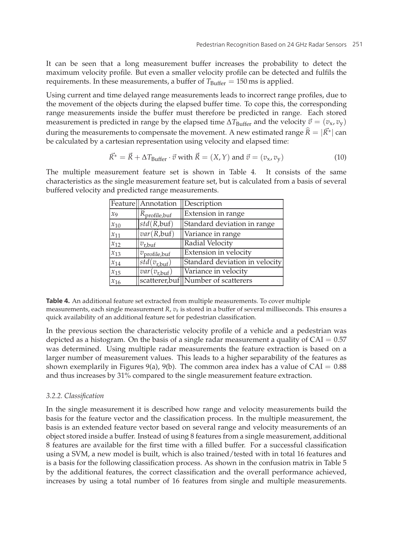It can be seen that a long measurement buffer increases the probability to detect the maximum velocity profile. But even a smaller velocity profile can be detected and fulfils the requirements. In these measurements, a buffer of  $T_{\text{Buffer}} = 150 \text{ ms}$  is applied.

Using current and time delayed range measurements leads to incorrect range profiles, due to the movement of the objects during the elapsed buffer time. To cope this, the corresponding range measurements inside the buffer must therefore be predicted in range. Each stored measurement is predicted in range by the elapsed time  $\Delta T_{\rm{Buffer}}$  and the velocity  $\vec{v} = (v_{\rm x}, v_{\rm y})$ during the movement of the objects during the elapsed buller time. To cope this, the corrange measurements inside the buffer must therefore be predicted in range. I measurement is predicted in range by the elapsed time  $\$  $\widehat{R} = |\vec{R}^*|$  can be calculated by a cartesian representation using velocity and elapsed time:

$$
\vec{R}^* = \vec{R} + \Delta T_{\text{Buffer}} \cdot \vec{v} \text{ with } \vec{R} = (X, Y) \text{ and } \vec{v} = (v_x, v_y)
$$
\n(10)

The multiple measurement feature set is shown in Table 4. It consists of the same characteristics as the single measurement feature set, but is calculated from a basis of several

| buffered velocity and predicted range measurements. |          |                                 |                                     |
|-----------------------------------------------------|----------|---------------------------------|-------------------------------------|
|                                                     |          | Feature Annotation              | Description                         |
|                                                     | $x_{9}$  | K <sub>profile,buf</sub>        | Extension in range                  |
|                                                     | $x_{10}$ | std(R,buf)                      | Standard deviation in range         |
|                                                     | $x_{11}$ | $var(\widehat{R}, \text{buf})$  | Variance in range                   |
|                                                     | $x_{12}$ | $v_{\rm r,buf}$                 | Radial Velocity                     |
|                                                     | $x_{13}$ | $v_{\text{profile},\text{buf}}$ | Extension in velocity               |
|                                                     | $x_{14}$ | $std(v_{r,buf})$                | Standard deviation in velocity      |
|                                                     | $x_{15}$ | $var(v_{r,\text{buf}})$         | Variance in velocity                |
|                                                     | $x_{16}$ |                                 | scatterer, buf Number of scatterers |

**Table 4.** An additional feature set extracted from multiple measurements. To cover multiple

measurements, each single measurement *R*, *v*<sup>r</sup> is stored in a buffer of several milliseconds. This ensures a quick availability of an additional feature set for pedestrian classification.

In the previous section the characteristic velocity profile of a vehicle and a pedestrian was depicted as a histogram. On the basis of a single radar measurement a quality of  $CAI = 0.57$ was determined. Using multiple radar measurements the feature extraction is based on a larger number of measurement values. This leads to a higher separability of the features as shown exemplarily in Figures 9(a), 9(b). The common area index has a value of  $CAI = 0.88$ and thus increases by 31% compared to the single measurement feature extraction.

#### *3.2.2. Classification*

In the single measurement it is described how range and velocity measurements build the basis for the feature vector and the classification process. In the multiple measurement, the basis is an extended feature vector based on several range and velocity measurements of an object stored inside a buffer. Instead of using 8 features from a single measurement, additional 8 features are available for the first time with a filled buffer. For a successful classification using a SVM, a new model is built, which is also trained/tested with in total 16 features and is a basis for the following classification process. As shown in the confusion matrix in Table 5 by the additional features, the correct classification and the overall performance achieved, increases by using a total number of 16 features from single and multiple measurements.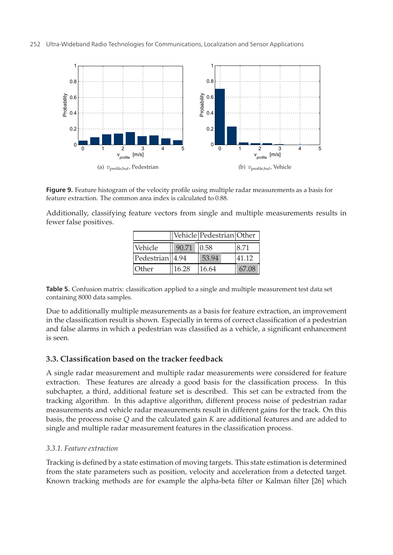

**Figure 9.** Feature histogram of the velocity profile using multiple radar measurements as a basis for feature extraction. The common area index is calculated to 0.88.

Additionally, classifying feature vectors from single and multiple measurements results in fewer false positives.

|                 |       | Vehicle Pedestrian Other |       |
|-----------------|-------|--------------------------|-------|
| Vehicle         | 90.71 | 0.58                     | 8.71  |
| Pedestrian 4.94 |       | 53.94                    | 41.12 |
| Other           | 16.28 | 16.64                    | 67.08 |

**Table 5.** Confusion matrix: classification applied to a single and multiple measurement test data set containing 8000 data samples.

Due to additionally multiple measurements as a basis for feature extraction, an improvement in the classification result is shown. Especially in terms of correct classification of a pedestrian and false alarms in which a pedestrian was classified as a vehicle, a significant enhancement is seen.

## **3.3. Classification based on the tracker feedback**

A single radar measurement and multiple radar measurements were considered for feature extraction. These features are already a good basis for the classification process. In this subchapter, a third, additional feature set is described. This set can be extracted from the tracking algorithm. In this adaptive algorithm, different process noise of pedestrian radar measurements and vehicle radar measurements result in different gains for the track. On this basis, the process noise *Q* and the calculated gain *K* are additional features and are added to single and multiple radar measurement features in the classification process.

## *3.3.1. Feature extraction*

Tracking is defined by a state estimation of moving targets. This state estimation is determined from the state parameters such as position, velocity and acceleration from a detected target. Known tracking methods are for example the alpha-beta filter or Kalman filter [26] which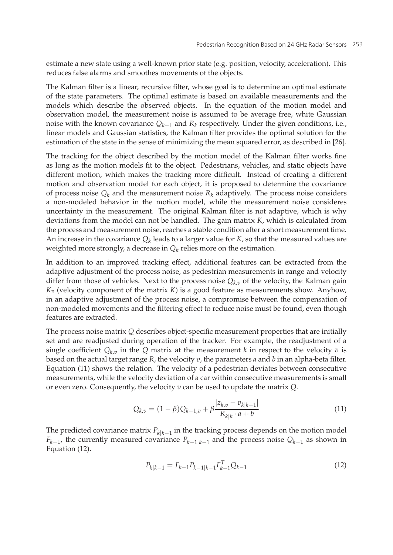estimate a new state using a well-known prior state (e.g. position, velocity, acceleration). This reduces false alarms and smoothes movements of the objects.

The Kalman filter is a linear, recursive filter, whose goal is to determine an optimal estimate of the state parameters. The optimal estimate is based on available measurements and the models which describe the observed objects. In the equation of the motion model and observation model, the measurement noise is assumed to be average free, white Gaussian noise with the known covariance *Qk*−<sup>1</sup> and *Rk* respectively. Under the given conditions, i.e., linear models and Gaussian statistics, the Kalman filter provides the optimal solution for the estimation of the state in the sense of minimizing the mean squared error, as described in [26].

The tracking for the object described by the motion model of the Kalman filter works fine as long as the motion models fit to the object. Pedestrians, vehicles, and static objects have different motion, which makes the tracking more difficult. Instead of creating a different motion and observation model for each object, it is proposed to determine the covariance of process noise  $Q_k$  and the measurement noise  $R_k$  adaptively. The process noise considers a non-modeled behavior in the motion model, while the measurement noise consideres uncertainty in the measurement. The original Kalman filter is not adaptive, which is why deviations from the model can not be handled. The gain matrix *K*, which is calculated from the process and measurement noise, reaches a stable condition after a short measurement time. An increase in the covariance  $Q_k$  leads to a larger value for  $K$ , so that the measured values are weighted more strongly, a decrease in  $Q_k$  relies more on the estimation.

In addition to an improved tracking effect, additional features can be extracted from the adaptive adjustment of the process noise, as pedestrian measurements in range and velocity differ from those of vehicles. Next to the process noise  $Q_{k,v}$  of the velocity, the Kalman gain  $K_v$  (velocity component of the matrix  $K$ ) is a good feature as measurements show. Anyhow, in an adaptive adjustment of the process noise, a compromise between the compensation of non-modeled movements and the filtering effect to reduce noise must be found, even though features are extracted.

The process noise matrix *Q* describes object-specific measurement properties that are initially set and are readjusted during operation of the tracker. For example, the readjustment of a single coefficient  $Q_{k,v}$  in the *Q* matrix at the measurement *k* in respect to the velocity *v* is based on the actual target range *R*, the velocity *v*, the parameters *a* and *b* in an alpha-beta filter. Equation (11) shows the relation. The velocity of a pedestrian deviates between consecutive measurements, while the velocity deviation of a car within consecutive measurements is small or even zero. Consequently, the velocity *v* can be used to update the matrix *Q*.

$$
Q_{k,v} = (1 - \beta)Q_{k-1,v} + \beta \frac{|z_{k,v} - v_{k|k-1}|}{R_{k|k} \cdot a + b}
$$
\n(11)

The predicted covariance matrix *Pk*|*k*−<sup>1</sup> in the tracking process depends on the motion model *F<sub>k−1</sub>*, the currently measured covariance  $P_{k-1|k-1}$  and the process noise  $Q_{k-1}$  as shown in Equation (12).

$$
P_{k|k-1} = F_{k-1}P_{k-1|k-1}F_{k-1}^TQ_{k-1}
$$
\n(12)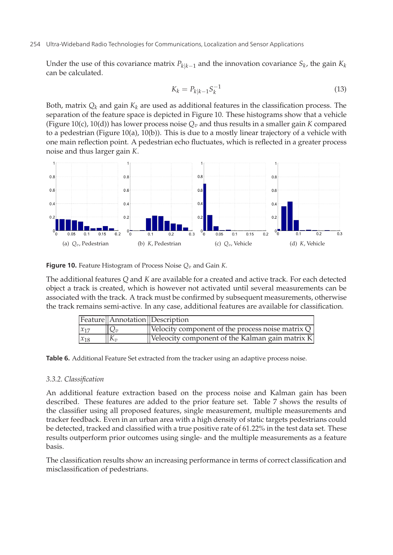Under the use of this covariance matrix  $P_{k|k-1}$  and the innovation covariance  $S_k$ , the gain  $K_k$ can be calculated.

$$
K_k = P_{k|k-1} S_k^{-1}
$$
\n(13)

Both, matrix  $Q_k$  and gain  $K_k$  are used as additional features in the classification process. The separation of the feature space is depicted in Figure 10. These histograms show that a vehicle (Figure 10(c), 10(d)) has lower process noise  $Q_v$  and thus results in a smaller gain *K* compared to a pedestrian (Figure 10(a), 10(b)). This is due to a mostly linear trajectory of a vehicle with one main reflection point. A pedestrian echo fluctuates, which is reflected in a greater process noise and thus larger gain *K*.



**Figure 10.** Feature Histogram of Process Noise  $Q_v$  and Gain *K*.

The additional features *Q* and *K* are available for a created and active track. For each detected object a track is created, which is however not activated until several measurements can be associated with the track. A track must be confirmed by subsequent measurements, otherwise the track remains semi-active. In any case, additional features are available for classification.

|          |              | Feature   Annotation   Description                               |
|----------|--------------|------------------------------------------------------------------|
| $x_{17}$ | $Q_v$        | $\sqrt{\text{Velocity component of the process noise matrix Q}}$ |
| $x_{18}$ | $K_{\gamma}$ | Veleocity component of the Kalman gain matrix K                  |

Table 6. Additional Feature Set extracted from the tracker using an adaptive process noise.

#### *3.3.2. Classification*

An additional feature extraction based on the process noise and Kalman gain has been described. These features are added to the prior feature set. Table 7 shows the results of the classifier using all proposed features, single measurement, multiple measurements and tracker feedback. Even in an urban area with a high density of static targets pedestrians could be detected, tracked and classified with a true positive rate of 61.22% in the test data set. These results outperform prior outcomes using single- and the multiple measurements as a feature basis.

The classification results show an increasing performance in terms of correct classification and misclassification of pedestrians.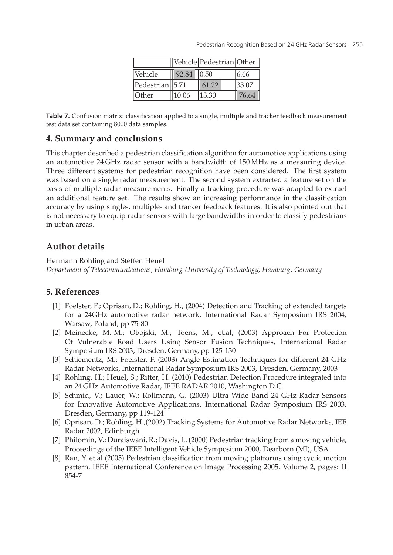|                              |       | Vehicle Pedestrian Other |       |
|------------------------------|-------|--------------------------|-------|
| Vehicle                      | 92.84 | 0.50                     | 6.66  |
| Pedestrian <sup>1</sup> 5.71 |       | 61.22                    | 33.07 |
| Other                        | 10.06 | 13.30                    | 76.64 |

**Table 7.** Confusion matrix: classification applied to a single, multiple and tracker feedback measurement test data set containing 8000 data samples.

## **4. Summary and conclusions**

This chapter described a pedestrian classification algorithm for automotive applications using an automotive 24 GHz radar sensor with a bandwidth of 150 MHz as a measuring device. Three different systems for pedestrian recognition have been considered. The first system was based on a single radar measurement. The second system extracted a feature set on the basis of multiple radar measurements. Finally a tracking procedure was adapted to extract an additional feature set. The results show an increasing performance in the classification accuracy by using single-, multiple- and tracker feedback features. It is also pointed out that is not necessary to equip radar sensors with large bandwidths in order to classify pedestrians in urban areas.

# **Author details**

Hermann Rohling and Steffen Heuel *Department of Telecommunications, Hamburg University of Technology, Hamburg, Germany*

# **5. References**

- [1] Foelster, F.; Oprisan, D.; Rohling, H., (2004) Detection and Tracking of extended targets for a 24GHz automotive radar network, International Radar Symposium IRS 2004, Warsaw, Poland; pp 75-80
- [2] Meinecke, M.-M.; Obojski, M.; Toens, M.; et.al, (2003) Approach For Protection Of Vulnerable Road Users Using Sensor Fusion Techniques, International Radar Symposium IRS 2003, Dresden, Germany, pp 125-130
- [3] Schiementz, M.; Foelster, F. (2003) Angle Estimation Techniques for different 24 GHz Radar Networks, International Radar Symposium IRS 2003, Dresden, Germany, 2003
- [4] Rohling, H.; Heuel, S.; Ritter, H. (2010) Pedestrian Detection Procedure integrated into an 24 GHz Automotive Radar, IEEE RADAR 2010, Washington D.C.
- [5] Schmid, V.; Lauer, W.; Rollmann, G. (2003) Ultra Wide Band 24 GHz Radar Sensors for Innovative Automotive Applications, International Radar Symposium IRS 2003, Dresden, Germany, pp 119-124
- [6] Oprisan, D.; Rohling, H.,(2002) Tracking Systems for Automotive Radar Networks, IEE Radar 2002, Edinburgh
- [7] Philomin, V.; Duraiswani, R.; Davis, L. (2000) Pedestrian tracking from a moving vehicle, Proceedings of the IEEE Intelligent Vehicle Symposium 2000, Dearborn (MI), USA
- [8] Ran, Y. et al (2005) Pedestrian classification from moving platforms using cyclic motion pattern, IEEE International Conference on Image Processing 2005, Volume 2, pages: II 854-7